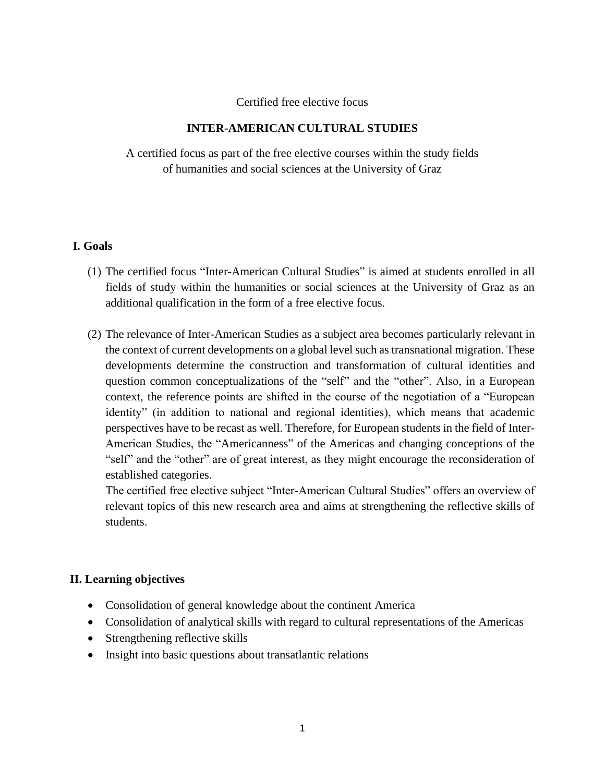#### Certified free elective focus

## **INTER-AMERICAN CULTURAL STUDIES**

A certified focus as part of the free elective courses within the study fields of humanities and social sciences at the University of Graz

#### **I. Goals**

- (1) The certified focus "Inter-American Cultural Studies" is aimed at students enrolled in all fields of study within the humanities or social sciences at the University of Graz as an additional qualification in the form of a free elective focus.
- (2) The relevance of Inter-American Studies as a subject area becomes particularly relevant in the context of current developments on a global level such as transnational migration. These developments determine the construction and transformation of cultural identities and question common conceptualizations of the "self" and the "other". Also, in a European context, the reference points are shifted in the course of the negotiation of a "European identity" (in addition to national and regional identities), which means that academic perspectives have to be recast as well. Therefore, for European students in the field of Inter-American Studies, the "Americanness" of the Americas and changing conceptions of the "self" and the "other" are of great interest, as they might encourage the reconsideration of established categories.

The certified free elective subject "Inter-American Cultural Studies" offers an overview of relevant topics of this new research area and aims at strengthening the reflective skills of students.

# **II. Learning objectives**

- Consolidation of general knowledge about the continent America
- Consolidation of analytical skills with regard to cultural representations of the Americas
- Strengthening reflective skills
- Insight into basic questions about transatlantic relations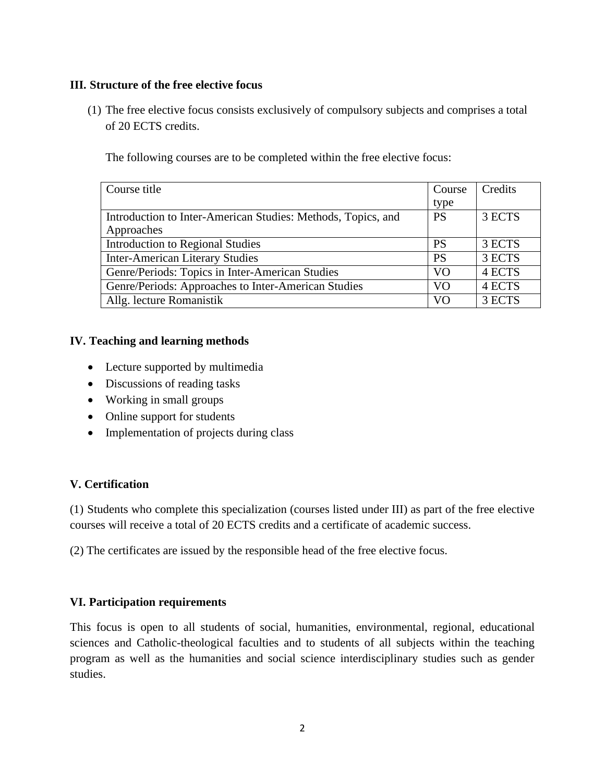## **III. Structure of the free elective focus**

(1) The free elective focus consists exclusively of compulsory subjects and comprises a total of 20 ECTS credits.

The following courses are to be completed within the free elective focus:

| Course title                                                 | Course         | Credits |
|--------------------------------------------------------------|----------------|---------|
|                                                              | type           |         |
| Introduction to Inter-American Studies: Methods, Topics, and | <b>PS</b>      | 3 ECTS  |
| Approaches                                                   |                |         |
| <b>Introduction to Regional Studies</b>                      | <b>PS</b>      | 3 ECTS  |
| <b>Inter-American Literary Studies</b>                       | <b>PS</b>      | 3 ECTS  |
| Genre/Periods: Topics in Inter-American Studies              | V <sub>O</sub> | 4 ECTS  |
| Genre/Periods: Approaches to Inter-American Studies          | V <sub>O</sub> | 4 ECTS  |
| Allg. lecture Romanistik                                     | VΟ             | 3 ECTS  |

## **IV. Teaching and learning methods**

- Lecture supported by multimedia
- Discussions of reading tasks
- Working in small groups
- Online support for students
- Implementation of projects during class

# **V. Certification**

(1) Students who complete this specialization (courses listed under III) as part of the free elective courses will receive a total of 20 ECTS credits and a certificate of academic success.

(2) The certificates are issued by the responsible head of the free elective focus.

# **VI. Participation requirements**

This focus is open to all students of social, humanities, environmental, regional, educational sciences and Catholic-theological faculties and to students of all subjects within the teaching program as well as the humanities and social science interdisciplinary studies such as gender studies.